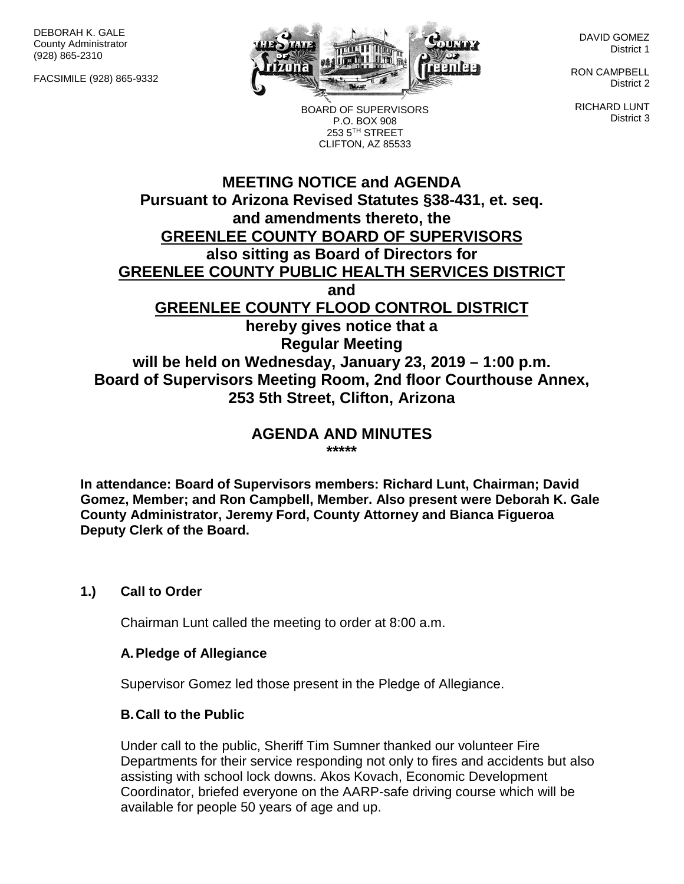DEBORAH K. GALE County Administrator (928) 865-2310

FACSIMILE (928) 865-9332



BOARD OF SUPERVISORS P.O. BOX 908 253 5TH STREET CLIFTON, AZ 85533

DAVID GOMEZ District 1

RON CAMPBELL District 2

RICHARD LUNT District 3

# **MEETING NOTICE and AGENDA Pursuant to Arizona Revised Statutes §38-431, et. seq. and amendments thereto, the GREENLEE COUNTY BOARD OF SUPERVISORS also sitting as Board of Directors for GREENLEE COUNTY PUBLIC HEALTH SERVICES DISTRICT and GREENLEE COUNTY FLOOD CONTROL DISTRICT hereby gives notice that a Regular Meeting will be held on Wednesday, January 23, 2019 – 1:00 p.m. Board of Supervisors Meeting Room, 2nd floor Courthouse Annex, 253 5th Street, Clifton, Arizona**

#### **AGENDA AND MINUTES \*\*\*\*\***

**In attendance: Board of Supervisors members: Richard Lunt, Chairman; David Gomez, Member; and Ron Campbell, Member. Also present were Deborah K. Gale County Administrator, Jeremy Ford, County Attorney and Bianca Figueroa Deputy Clerk of the Board.**

## **1.) Call to Order**

Chairman Lunt called the meeting to order at 8:00 a.m.

## **A.Pledge of Allegiance**

Supervisor Gomez led those present in the Pledge of Allegiance.

## **B.Call to the Public**

Under call to the public, Sheriff Tim Sumner thanked our volunteer Fire Departments for their service responding not only to fires and accidents but also assisting with school lock downs. Akos Kovach, Economic Development Coordinator, briefed everyone on the AARP-safe driving course which will be available for people 50 years of age and up.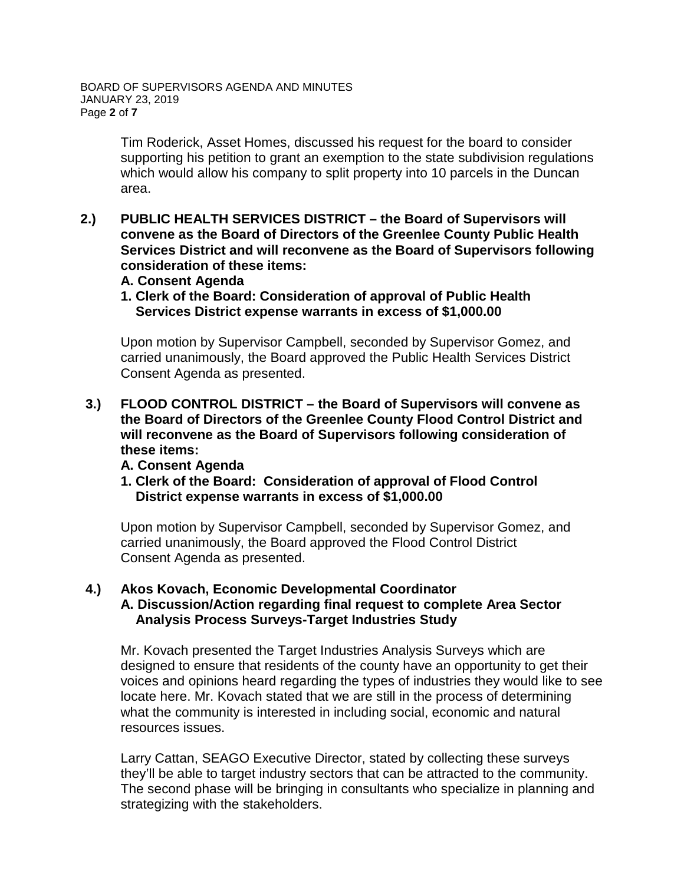Tim Roderick, Asset Homes, discussed his request for the board to consider supporting his petition to grant an exemption to the state subdivision regulations which would allow his company to split property into 10 parcels in the Duncan area.

- **2.) PUBLIC HEALTH SERVICES DISTRICT – the Board of Supervisors will convene as the Board of Directors of the Greenlee County Public Health Services District and will reconvene as the Board of Supervisors following consideration of these items:**
	- **A. Consent Agenda**
	- **1. Clerk of the Board: Consideration of approval of Public Health Services District expense warrants in excess of \$1,000.00**

Upon motion by Supervisor Campbell, seconded by Supervisor Gomez, and carried unanimously, the Board approved the Public Health Services District Consent Agenda as presented.

- **3.) FLOOD CONTROL DISTRICT – the Board of Supervisors will convene as the Board of Directors of the Greenlee County Flood Control District and will reconvene as the Board of Supervisors following consideration of these items:**
	- **A. Consent Agenda**
	- **1. Clerk of the Board: Consideration of approval of Flood Control District expense warrants in excess of \$1,000.00**

Upon motion by Supervisor Campbell, seconded by Supervisor Gomez, and carried unanimously, the Board approved the Flood Control District Consent Agenda as presented.

#### **4.) Akos Kovach, Economic Developmental Coordinator A. Discussion/Action regarding final request to complete Area Sector Analysis Process Surveys-Target Industries Study**

Mr. Kovach presented the Target Industries Analysis Surveys which are designed to ensure that residents of the county have an opportunity to get their voices and opinions heard regarding the types of industries they would like to see locate here. Mr. Kovach stated that we are still in the process of determining what the community is interested in including social, economic and natural resources issues.

Larry Cattan, SEAGO Executive Director, stated by collecting these surveys they'll be able to target industry sectors that can be attracted to the community. The second phase will be bringing in consultants who specialize in planning and strategizing with the stakeholders.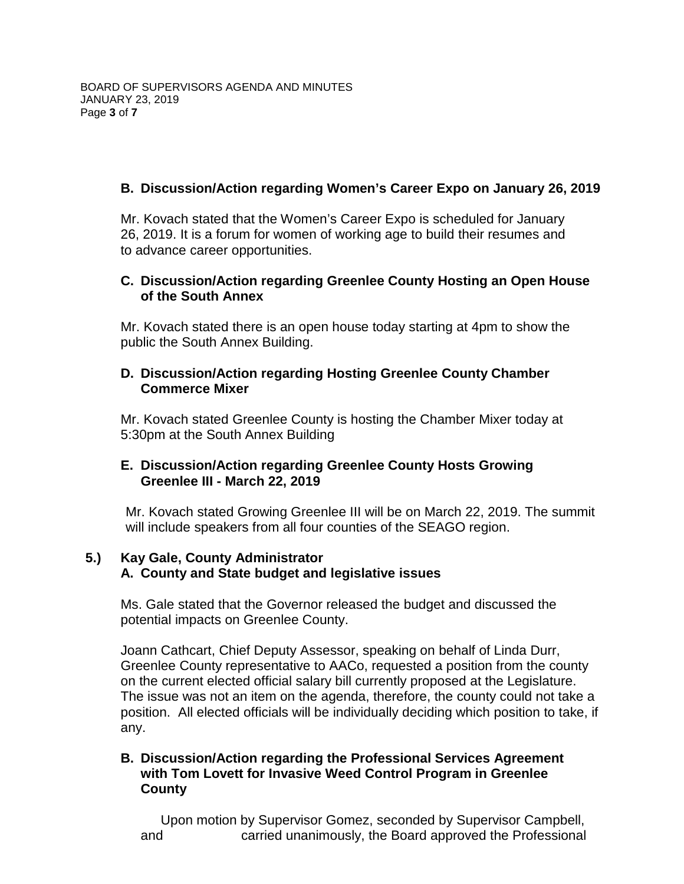## **B. Discussion/Action regarding Women's Career Expo on January 26, 2019**

Mr. Kovach stated that the Women's Career Expo is scheduled for January 26, 2019. It is a forum for women of working age to build their resumes and to advance career opportunities.

## **C. Discussion/Action regarding Greenlee County Hosting an Open House of the South Annex**

Mr. Kovach stated there is an open house today starting at 4pm to show the public the South Annex Building.

## **D. Discussion/Action regarding Hosting Greenlee County Chamber Commerce Mixer**

Mr. Kovach stated Greenlee County is hosting the Chamber Mixer today at 5:30pm at the South Annex Building

## **E. Discussion/Action regarding Greenlee County Hosts Growing Greenlee III - March 22, 2019**

Mr. Kovach stated Growing Greenlee III will be on March 22, 2019. The summit will include speakers from all four counties of the SEAGO region.

## **5.) Kay Gale, County Administrator A. County and State budget and legislative issues**

Ms. Gale stated that the Governor released the budget and discussed the potential impacts on Greenlee County.

Joann Cathcart, Chief Deputy Assessor, speaking on behalf of Linda Durr, Greenlee County representative to AACo, requested a position from the county on the current elected official salary bill currently proposed at the Legislature. The issue was not an item on the agenda, therefore, the county could not take a position. All elected officials will be individually deciding which position to take, if any.

## **B. Discussion/Action regarding the Professional Services Agreement with Tom Lovett for Invasive Weed Control Program in Greenlee County**

Upon motion by Supervisor Gomez, seconded by Supervisor Campbell, and carried unanimously, the Board approved the Professional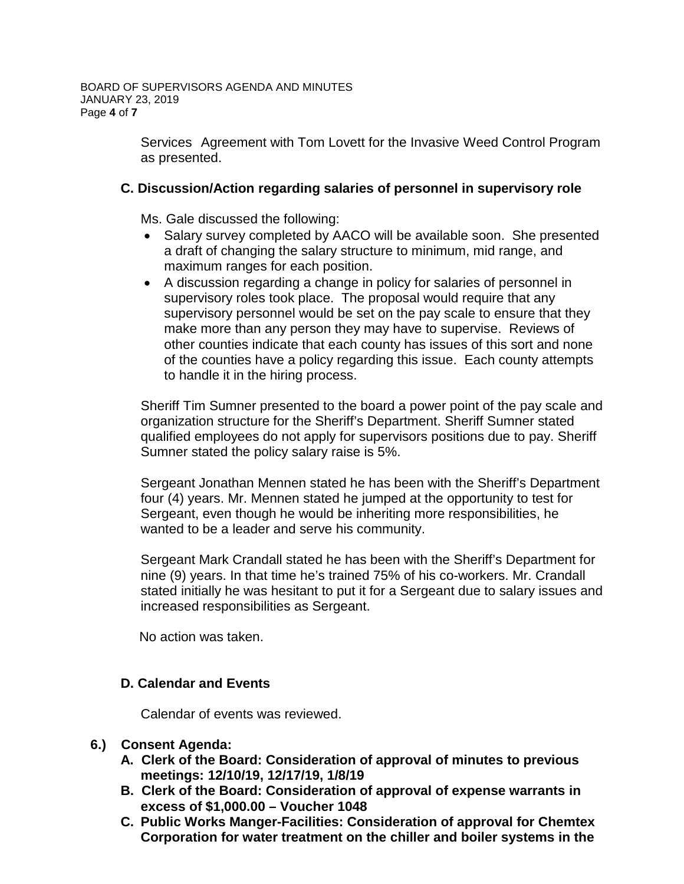Services Agreement with Tom Lovett for the Invasive Weed Control Program as presented.

## **C. Discussion/Action regarding salaries of personnel in supervisory role**

Ms. Gale discussed the following:

- Salary survey completed by AACO will be available soon. She presented a draft of changing the salary structure to minimum, mid range, and maximum ranges for each position.
- A discussion regarding a change in policy for salaries of personnel in supervisory roles took place. The proposal would require that any supervisory personnel would be set on the pay scale to ensure that they make more than any person they may have to supervise. Reviews of other counties indicate that each county has issues of this sort and none of the counties have a policy regarding this issue. Each county attempts to handle it in the hiring process.

Sheriff Tim Sumner presented to the board a power point of the pay scale and organization structure for the Sheriff's Department. Sheriff Sumner stated qualified employees do not apply for supervisors positions due to pay. Sheriff Sumner stated the policy salary raise is 5%.

Sergeant Jonathan Mennen stated he has been with the Sheriff's Department four (4) years. Mr. Mennen stated he jumped at the opportunity to test for Sergeant, even though he would be inheriting more responsibilities, he wanted to be a leader and serve his community.

Sergeant Mark Crandall stated he has been with the Sheriff's Department for nine (9) years. In that time he's trained 75% of his co-workers. Mr. Crandall stated initially he was hesitant to put it for a Sergeant due to salary issues and increased responsibilities as Sergeant.

No action was taken.

## **D. Calendar and Events**

Calendar of events was reviewed.

## **6.) Consent Agenda:**

- **A. Clerk of the Board: Consideration of approval of minutes to previous meetings: 12/10/19, 12/17/19, 1/8/19**
- **B. Clerk of the Board: Consideration of approval of expense warrants in excess of \$1,000.00 – Voucher 1048**
- **C. Public Works Manger-Facilities: Consideration of approval for Chemtex Corporation for water treatment on the chiller and boiler systems in the**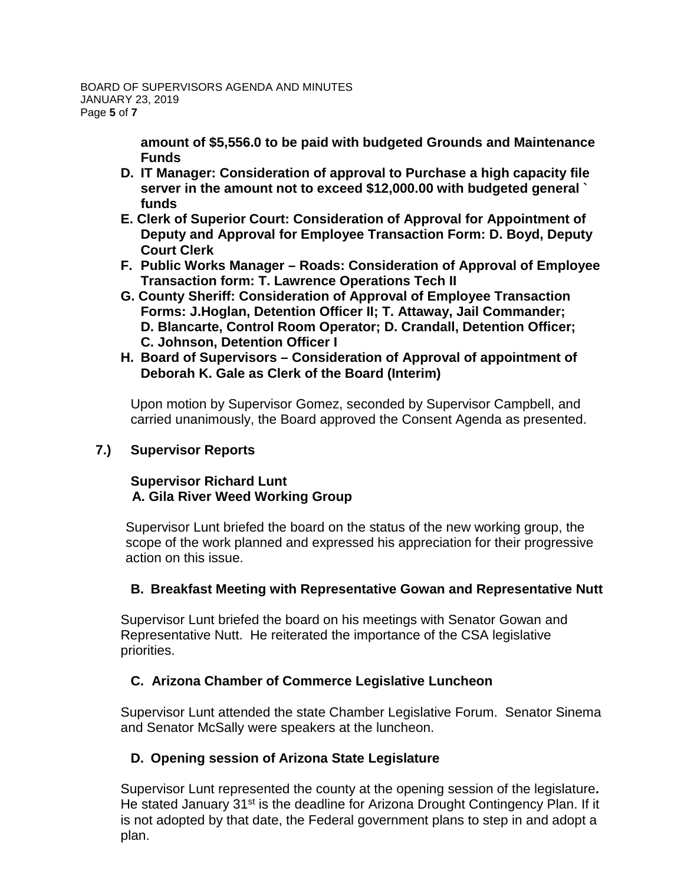**amount of \$5,556.0 to be paid with budgeted Grounds and Maintenance Funds**

- **D. IT Manager: Consideration of approval to Purchase a high capacity file server in the amount not to exceed \$12,000.00 with budgeted general ` funds**
- **E. Clerk of Superior Court: Consideration of Approval for Appointment of Deputy and Approval for Employee Transaction Form: D. Boyd, Deputy Court Clerk**
- **F. Public Works Manager – Roads: Consideration of Approval of Employee Transaction form: T. Lawrence Operations Tech II**
- **G. County Sheriff: Consideration of Approval of Employee Transaction Forms: J.Hoglan, Detention Officer II; T. Attaway, Jail Commander; D. Blancarte, Control Room Operator; D. Crandall, Detention Officer; C. Johnson, Detention Officer I**
- **H. Board of Supervisors – Consideration of Approval of appointment of Deborah K. Gale as Clerk of the Board (Interim)**

Upon motion by Supervisor Gomez, seconded by Supervisor Campbell, and carried unanimously, the Board approved the Consent Agenda as presented.

## **7.) Supervisor Reports**

## **Supervisor Richard Lunt A. Gila River Weed Working Group**

Supervisor Lunt briefed the board on the status of the new working group, the scope of the work planned and expressed his appreciation for their progressive action on this issue.

## **B. Breakfast Meeting with Representative Gowan and Representative Nutt**

Supervisor Lunt briefed the board on his meetings with Senator Gowan and Representative Nutt. He reiterated the importance of the CSA legislative priorities.

# **C. Arizona Chamber of Commerce Legislative Luncheon**

Supervisor Lunt attended the state Chamber Legislative Forum. Senator Sinema and Senator McSally were speakers at the luncheon.

# **D. Opening session of Arizona State Legislature**

Supervisor Lunt represented the county at the opening session of the legislature**.**  He stated January 31<sup>st</sup> is the deadline for Arizona Drought Contingency Plan. If it is not adopted by that date, the Federal government plans to step in and adopt a plan.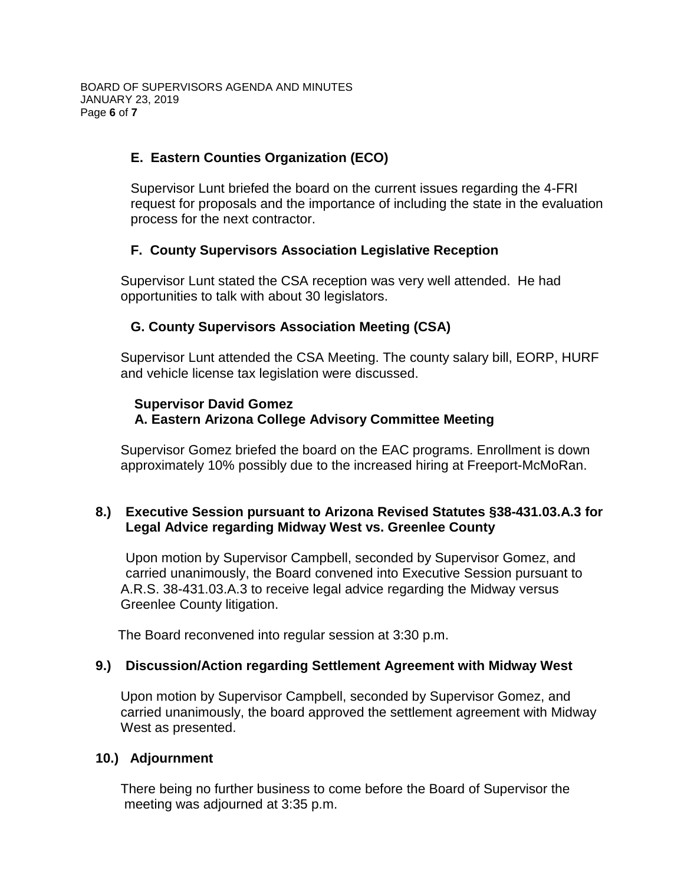## **E. Eastern Counties Organization (ECO)**

Supervisor Lunt briefed the board on the current issues regarding the 4-FRI request for proposals and the importance of including the state in the evaluation process for the next contractor.

## **F. County Supervisors Association Legislative Reception**

Supervisor Lunt stated the CSA reception was very well attended. He had opportunities to talk with about 30 legislators.

## **G. County Supervisors Association Meeting (CSA)**

Supervisor Lunt attended the CSA Meeting. The county salary bill, EORP, HURF and vehicle license tax legislation were discussed.

#### **Supervisor David Gomez A. Eastern Arizona College Advisory Committee Meeting**

Supervisor Gomez briefed the board on the EAC programs. Enrollment is down approximately 10% possibly due to the increased hiring at Freeport-McMoRan.

## **8.) Executive Session pursuant to Arizona Revised Statutes §38-431.03.A.3 for Legal Advice regarding Midway West vs. Greenlee County**

Upon motion by Supervisor Campbell, seconded by Supervisor Gomez, and carried unanimously, the Board convened into Executive Session pursuant to A.R.S. 38-431.03.A.3 to receive legal advice regarding the Midway versus Greenlee County litigation.

The Board reconvened into regular session at 3:30 p.m.

## **9.) Discussion/Action regarding Settlement Agreement with Midway West**

Upon motion by Supervisor Campbell, seconded by Supervisor Gomez, and carried unanimously, the board approved the settlement agreement with Midway West as presented.

## **10.) Adjournment**

There being no further business to come before the Board of Supervisor the meeting was adjourned at 3:35 p.m.